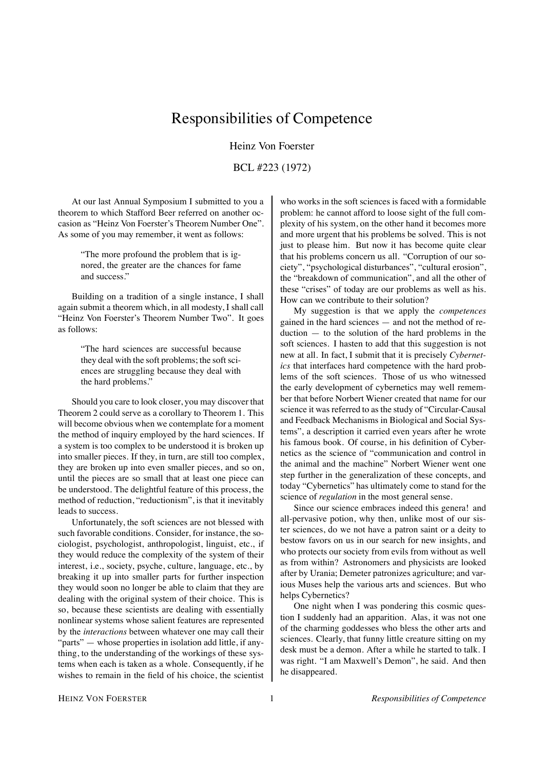# Responsibilities of Competence

Heinz Von Foerster

## BCL #223 (1972)

At our last Annual Symposium I submitted to you a theorem to which Stafford Beer referred on another occasion as "Heinz Von Foerster's Theorem Number One". As some of you may remember, it went as follows:

> "The more profound the problem that is ignored, the greater are the chances for fame and success."

Building on a tradition of a single instance, I shall again submit a theorem which, in all modesty, I shall call "Heinz Von Foerster's Theorem Number Two". It goes as follows:

> "The hard sciences are successful because they deal with the soft problems; the soft sciences are struggling because they deal with the hard problems."

Should you care to look closer, you may discover that Theorem 2 could serve as a corollary to Theorem 1. This will become obvious when we contemplate for a moment the method of inquiry employed by the hard sciences. If a system is too complex to be understood it is broken up into smaller pieces. If they, in turn, are still too complex, they are broken up into even smaller pieces, and so on, until the pieces are so small that at least one piece can be understood. The delightful feature of this process, the method of reduction, "reductionism", is that it inevitably leads to success.

Unfortunately, the soft sciences are not blessed with such favorable conditions. Consider, for instance, the sociologist, psychologist, anthropologist, linguist, etc., if they would reduce the complexity of the system of their interest, i.e., society, psyche, culture, language, etc., by breaking it up into smaller parts for further inspection they would soon no longer be able to claim that they are dealing with the original system of their choice. This is so, because these scientists are dealing with essentially nonlinear systems whose salient features are represented by the *interactions* between whatever one may call their "parts" — whose properties in isolation add little, if anything, to the understanding of the workings of these systems when each is taken as a whole. Consequently, if he wishes to remain in the field of his choice, the scientist

who works in the soft sciences is faced with a formidable problem: he cannot afford to loose sight of the full complexity of his system, on the other hand it becomes more and more urgent that his problems be solved. This is not just to please him. But now it has become quite clear that his problems concern us all. "Corruption of our society", "psychological disturbances", "cultural erosion", the "breakdown of communication", and all the other of these "crises" of today are our problems as well as his. How can we contribute to their solution?

My suggestion is that we apply the *competences* gained in the hard sciences — and not the method of re $d$ uction  $-$  to the solution of the hard problems in the soft sciences. I hasten to add that this suggestion is not new at all. In fact, I submit that it is precisely *Cybernetics* that interfaces hard competence with the hard problems of the soft sciences. Those of us who witnessed the early development of cybernetics may well remember that before Norbert Wiener created that name for our science it was referred to as the study of "Circular-Causal and Feedback Mechanisms in Biological and Social Systems", a description it carried even years after he wrote his famous book. Of course, in his definition of Cybernetics as the science of "communication and control in the animal and the machine" Norbert Wiener went one step further in the generalization of these concepts, and today "Cybernetics" has ultimately come to stand for the science of *regulation* in the most general sense.

Since our science embraces indeed this genera! and all-pervasive potion, why then, unlike most of our sister sciences, do we not have a patron saint or a deity to bestow favors on us in our search for new insights, and who protects our society from evils from without as well as from within? Astronomers and physicists are looked after by Urania; Demeter patronizes agriculture; and various Muses help the various arts and sciences. But who helps Cybernetics?

One night when I was pondering this cosmic question I suddenly had an apparition. Alas, it was not one of the charming goddesses who bless the other arts and sciences. Clearly, that funny little creature sitting on my desk must be a demon. After a while he started to talk. I was right. "I am Maxwell's Demon", he said. And then he disappeared.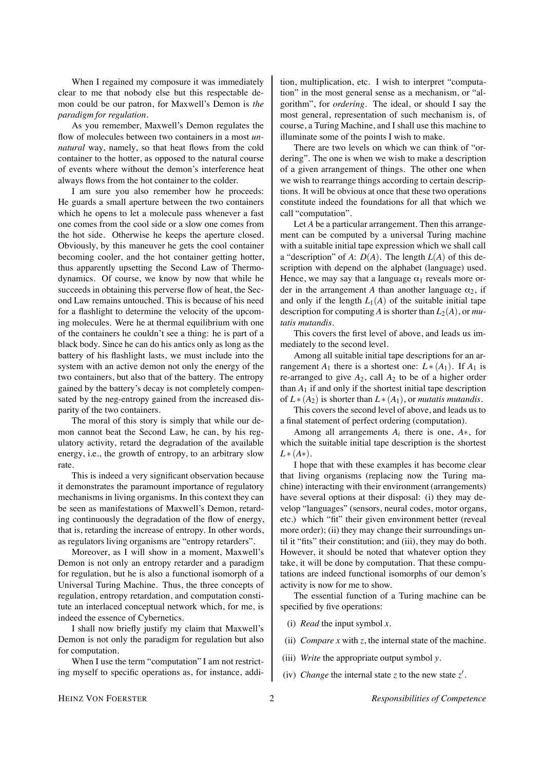When I regained my composure it was immediately clear to me that nobody else but this respectable demon could be our patron, for Maxwell's Demon is *the paradigm for regulation*.

As you remember, Maxwell's Demon regulates the flow of molecules between two containers in a most *unnatural* way, namely, so that heat flows from the cold container to the hotter, as opposed to the natural course of events where without the demon's interference heat always flows from the hot container to the colder.

I am sure you also remember how he proceeds: He guards a small aperture between the two containers which he opens to let a molecule pass whenever a fast one comes from the cool side or a slow one comes from the hot side. Otherwise he keeps the aperture closed. Obviously, by this maneuver he gets the cool container becoming cooler, and the hot container getting hotter, thus apparently upsetting the Second Law of Thermodynamics. Of course, we know by now that while he succeeds in obtaining this perverse flow of heat, the Second Law remains untouched. This is because of his need for a flashlight to determine the velocity of the upcoming molecules. Were he at thermal equilibrium with one of the containers he couldn't see a thing: he is part of a black body. Since he can do his antics only as long as the battery of his flashlight lasts, we must include into the system with an active demon not only the energy of the two containers, but also that of the battery. The entropy gained by the battery's decay is not completely compensated by the neg-entropy gained from the increased disparity of the two containers.

The moral of this story is simply that while our demon cannot beat the Second Law, he can, by his regulatory activity, retard the degradation of the available energy, i.e., the growth of entropy, to an arbitrary slow rate.

This is indeed a very significant observation because it demonstrates the paramount importance of regulatory mechanisms in living organisms. In this context they can be seen as manifestations of Maxwell's Demon, retarding continuously the degradation of the flow of energy, that is, retarding the increase of entropy. In other words, as regulators living organisms are "entropy retarders".

Moreover, as I will show in a moment, Maxwell's Demon is not only an entropy retarder and a paradigm for regulation, but he is also a functional isomorph of a Universal Turing Machine. Thus, the three concepts of regulation, entropy retardation, and computation constitute an interlaced conceptual network which, for me, is indeed the essence of Cybernetics.

I shall now briefly justify my claim that Maxwell's Demon is not only the paradigm for regulation but also for computation.

When I use the term "computation" I am not restricting myself to specific operations as, for instance, addi-

tion, multiplication, etc. I wish to interpret "computation" in the most general sense as a mechanism, or "algorithm", for *ordering*. The ideal, or should I say the most general, representation of such mechanism is, of course, a Turing Machine, and I shall use this machine to illuminate some of the points I wish to make.

There are two levels on which we can think of "ordering". The one is when we wish to make a description of a given arrangement of things. The other one when we wish to rearrange things according to certain descriptions. It will be obvious at once that these two operations constitute indeed the foundations for all that which we call "computation".

Let *A* be a particular arrangement. Then this arrangement can be computed by a universal Turing machine with a suitable initial tape expression which we shall call a "description" of *A*:  $D(A)$ . The length  $L(A)$  of this description with depend on the alphabet (language) used. Hence, we may say that a language  $\alpha_1$  reveals more order in the arrangement *A* than another language  $\alpha_2$ , if and only if the length  $L_1(A)$  of the suitable initial tape description for computing *A* is shorter than  $L_2(A)$ , or *mutatis mutandis*.

This covers the first level of above, and leads us immediately to the second level.

Among all suitable initial tape descriptions for an arrangement  $A_1$  there is a shortest one:  $L * (A_1)$ . If  $A_1$  is re-arranged to give  $A_2$ , call  $A_2$  to be of a higher order than  $A_1$  if and only if the shortest initial tape description of  $L \ast (A_2)$  is shorter than  $L \ast (A_1)$ , or *mutatis mutandis*.

This covers the second level of above, and leads us to a final statement of perfect ordering (computation).

Among all arrangements *Ai* there is one, *A*∗, for which the suitable initial tape description is the shortest *L* ∗ (*A*∗).

I hope that with these examples it has become clear that living organisms (replacing now the Turing machine) interacting with their environment (arrangements) have several options at their disposal: (i) they may develop "languages" (sensors, neural codes, motor organs, etc.) which "fit" their given environment better (reveal more order); (ii) they may change their surroundings until it "fits" their constitution; and (iii), they may do both. However, it should be noted that whatever option they take, it will be done by computation. That these computations are indeed functional isomorphs of our demon's activity is now for me to show.

The essential function of a Turing machine can be specified by five operations:

- (i) *Read* the input symbol *x*.
- (ii) *Compare x* with *z*, the internal state of the machine.
- (iii) *Write* the appropriate output symbol *y*.
- (iv) *Change* the internal state *z* to the new state  $z'$ .

HEINZ VON FOERSTER 2 *Responsibilities of Competence*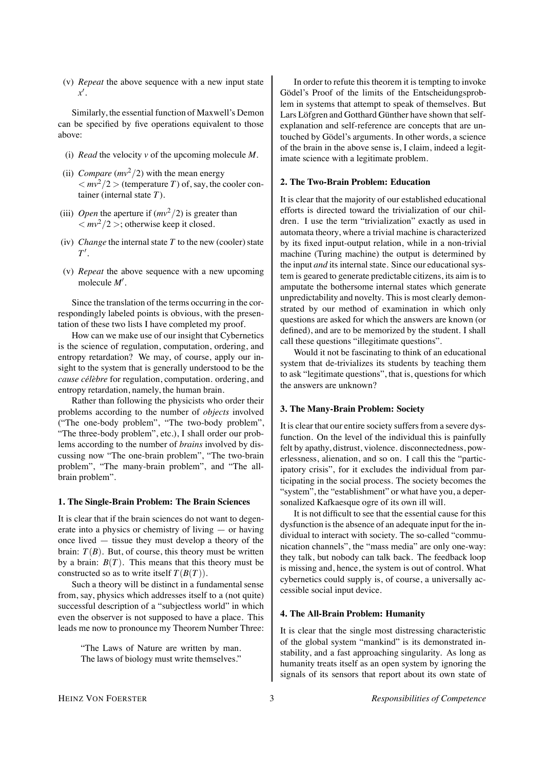(v) *Repeat* the above sequence with a new input state *x*" .

Similarly, the essential function of Maxwell's Demon can be specified by five operations equivalent to those above:

- (i) *Read* the velocity *v* of the upcoming molecule *M*.
- (ii) *Compare*  $\left(\frac{mv^2}{2}\right)$  with the mean energy  $\langle m v^2/2 \rangle$  (temperature *T*) of, say, the cooler container (internal state *T*).
- (iii) *Open* the aperture if  $(mv^2/2)$  is greater than  $\langle mv^2/2\rangle$ ; otherwise keep it closed.
- (iv) *Change* the internal state *T* to the new (cooler) state *T*" .
- (v) *Repeat* the above sequence with a new upcoming molecule *M*" .

Since the translation of the terms occurring in the correspondingly labeled points is obvious, with the presentation of these two lists I have completed my proof.

How can we make use of our insight that Cybernetics is the science of regulation, computation, ordering, and entropy retardation? We may, of course, apply our insight to the system that is generally understood to be the *cause célèbre* for regulation, computation. ordering, and entropy retardation, namely, the human brain.

Rather than following the physicists who order their problems according to the number of *objects* involved ("The one-body problem", "The two-body problem", "The three-body problem", etc.), I shall order our problems according to the number of *brains* involved by discussing now "The one-brain problem", "The two-brain problem", "The many-brain problem", and "The allbrain problem".

#### **1. The Single-Brain Problem: The Brain Sciences**

It is clear that if the brain sciences do not want to degenerate into a physics or chemistry of living — or having once lived — tissue they must develop a theory of the brain:  $T(B)$ . But, of course, this theory must be written by a brain:  $B(T)$ . This means that this theory must be constructed so as to write itself  $T(B(T))$ .

Such a theory will be distinct in a fundamental sense from, say, physics which addresses itself to a (not quite) successful description of a "subjectless world" in which even the observer is not supposed to have a place. This leads me now to pronounce my Theorem Number Three:

> "The Laws of Nature are written by man. The laws of biology must write themselves."

In order to refute this theorem it is tempting to invoke Gödel's Proof of the limits of the Entscheidungsproblem in systems that attempt to speak of themselves. But Lars Löfgren and Gotthard Günther have shown that selfexplanation and self-reference are concepts that are untouched by Gödel's arguments. In other words, a science of the brain in the above sense is, I claim, indeed a legitimate science with a legitimate problem.

#### **2. The Two-Brain Problem: Education**

It is clear that the majority of our established educational efforts is directed toward the trivialization of our children. I use the term "trivialization" exactly as used in automata theory, where a trivial machine is characterized by its fixed input-output relation, while in a non-trivial machine (Turing machine) the output is determined by the input *and* its internal state. Since our educational system is geared to generate predictable citizens, its aim is to amputate the bothersome internal states which generate unpredictability and novelty. This is most clearly demonstrated by our method of examination in which only questions are asked for which the answers are known (or defined), and are to be memorized by the student. I shall call these questions "illegitimate questions".

Would it not be fascinating to think of an educational system that de-trivializes its students by teaching them to ask "legitimate questions", that is, questions for which the answers are unknown?

#### **3. The Many-Brain Problem: Society**

It is clear that our entire society suffers from a severe dysfunction. On the level of the individual this is painfully felt by apathy, distrust, violence. disconnectedness, powerlessness, alienation, and so on. I call this the "participatory crisis", for it excludes the individual from participating in the social process. The society becomes the "system", the "establishment" or what have you, a depersonalized Kafkaesque ogre of its own ill will.

It is not difficult to see that the essential cause for this dysfunction is the absence of an adequate input for the individual to interact with society. The so-called "communication channels", the "mass media" are only one-way: they talk, but nobody can talk back. The feedback loop is missing and, hence, the system is out of control. What cybernetics could supply is, of course, a universally accessible social input device.

### **4. The All-Brain Problem: Humanity**

It is clear that the single most distressing characteristic of the global system "mankind" is its demonstrated instability, and a fast approaching singularity. As long as humanity treats itself as an open system by ignoring the signals of its sensors that report about its own state of